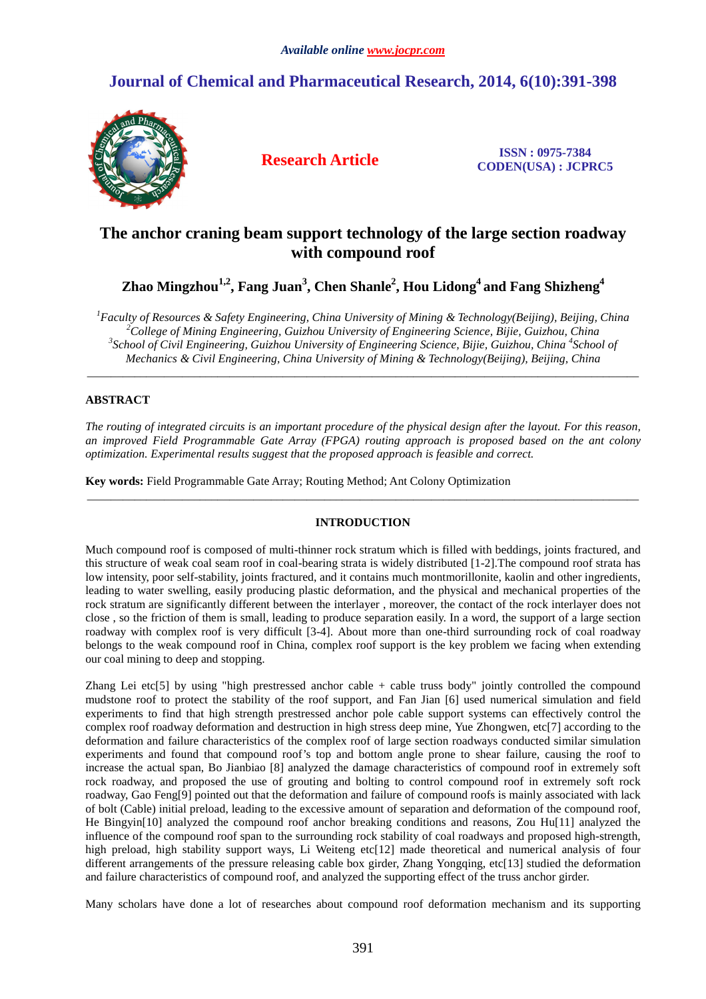# **Journal of Chemical and Pharmaceutical Research, 2014, 6(10):391-398**



**Research Article ISSN : 0975-7384 CODEN(USA) : JCPRC5**

# **The anchor craning beam support technology of the large section roadway with compound roof**

**Zhao Mingzhou1,2, Fang Juan<sup>3</sup> , Chen Shanle<sup>2</sup> , Hou Lidong<sup>4</sup>and Fang Shizheng<sup>4</sup>**

*<sup>1</sup>Faculty of Resources & Safety Engineering, China University of Mining & Technology(Beijing), Beijing, China <sup>2</sup>College of Mining Engineering, Guizhou University of Engineering Science, Bijie, Guizhou, China*  <sup>3</sup> School of Civil Engineering, Guizhou University of Engineering Science, Bijie, Guizhou, China <sup>4</sup>School of *Mechanics & Civil Engineering, China University of Mining & Technology(Beijing), Beijing, China* 

\_\_\_\_\_\_\_\_\_\_\_\_\_\_\_\_\_\_\_\_\_\_\_\_\_\_\_\_\_\_\_\_\_\_\_\_\_\_\_\_\_\_\_\_\_\_\_\_\_\_\_\_\_\_\_\_\_\_\_\_\_\_\_\_\_\_\_\_\_\_\_\_\_\_\_\_\_\_\_\_\_\_\_\_\_\_\_\_\_\_\_\_\_

# **ABSTRACT**

*The routing of integrated circuits is an important procedure of the physical design after the layout. For this reason, an improved Field Programmable Gate Array (FPGA) routing approach is proposed based on the ant colony optimization. Experimental results suggest that the proposed approach is feasible and correct.* 

**Key words:** Field Programmable Gate Array; Routing Method; Ant Colony Optimization

# **INTRODUCTION**

\_\_\_\_\_\_\_\_\_\_\_\_\_\_\_\_\_\_\_\_\_\_\_\_\_\_\_\_\_\_\_\_\_\_\_\_\_\_\_\_\_\_\_\_\_\_\_\_\_\_\_\_\_\_\_\_\_\_\_\_\_\_\_\_\_\_\_\_\_\_\_\_\_\_\_\_\_\_\_\_\_\_\_\_\_\_\_\_\_\_\_\_\_

Much compound roof is composed of multi-thinner rock stratum which is filled with beddings, joints fractured, and this structure of weak coal seam roof in coal-bearing strata is widely distributed [1-2].The compound roof strata has low intensity, poor self-stability, joints fractured, and it contains much montmorillonite, kaolin and other ingredients, leading to water swelling, easily producing plastic deformation, and the physical and mechanical properties of the rock stratum are significantly different between the interlayer , moreover, the contact of the rock interlayer does not close , so the friction of them is small, leading to produce separation easily. In a word, the support of a large section roadway with complex roof is very difficult [3-4]. About more than one-third surrounding rock of coal roadway belongs to the weak compound roof in China, complex roof support is the key problem we facing when extending our coal mining to deep and stopping.

Zhang Lei etc[5] by using "high prestressed anchor cable + cable truss body" jointly controlled the compound mudstone roof to protect the stability of the roof support, and Fan Jian [6] used numerical simulation and field experiments to find that high strength prestressed anchor pole cable support systems can effectively control the complex roof roadway deformation and destruction in high stress deep mine, Yue Zhongwen, etc[7] according to the deformation and failure characteristics of the complex roof of large section roadways conducted similar simulation experiments and found that compound roof's top and bottom angle prone to shear failure, causing the roof to increase the actual span, Bo Jianbiao [8] analyzed the damage characteristics of compound roof in extremely soft rock roadway, and proposed the use of grouting and bolting to control compound roof in extremely soft rock roadway, Gao Feng[9] pointed out that the deformation and failure of compound roofs is mainly associated with lack of bolt (Cable) initial preload, leading to the excessive amount of separation and deformation of the compound roof, He Bingyin[10] analyzed the compound roof anchor breaking conditions and reasons, Zou Hu[11] analyzed the influence of the compound roof span to the surrounding rock stability of coal roadways and proposed high-strength, high preload, high stability support ways, Li Weiteng etc[12] made theoretical and numerical analysis of four different arrangements of the pressure releasing cable box girder, Zhang Yongqing, etc[13] studied the deformation and failure characteristics of compound roof, and analyzed the supporting effect of the truss anchor girder.

Many scholars have done a lot of researches about compound roof deformation mechanism and its supporting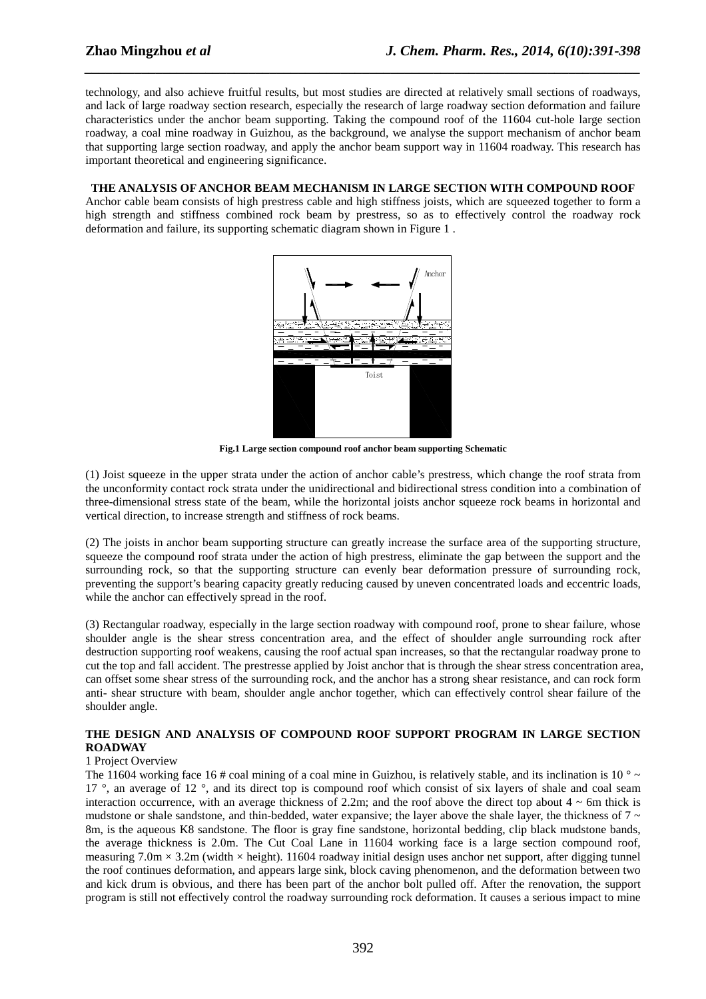technology, and also achieve fruitful results, but most studies are directed at relatively small sections of roadways, and lack of large roadway section research, especially the research of large roadway section deformation and failure characteristics under the anchor beam supporting. Taking the compound roof of the 11604 cut-hole large section roadway, a coal mine roadway in Guizhou, as the background, we analyse the support mechanism of anchor beam that supporting large section roadway, and apply the anchor beam support way in 11604 roadway. This research has important theoretical and engineering significance.

*\_\_\_\_\_\_\_\_\_\_\_\_\_\_\_\_\_\_\_\_\_\_\_\_\_\_\_\_\_\_\_\_\_\_\_\_\_\_\_\_\_\_\_\_\_\_\_\_\_\_\_\_\_\_\_\_\_\_\_\_\_\_\_\_\_\_\_\_\_\_\_\_\_\_\_\_\_\_*

# **THE ANALYSIS OF ANCHOR BEAM MECHANISM IN LARGE SECTION WITH COMPOUND ROOF**

Anchor cable beam consists of high prestress cable and high stiffness joists, which are squeezed together to form a high strength and stiffness combined rock beam by prestress, so as to effectively control the roadway rock deformation and failure, its supporting schematic diagram shown in Figure 1 .



**Fig.1 Large section compound roof anchor beam supporting Schematic** 

(1) Joist squeeze in the upper strata under the action of anchor cable's prestress, which change the roof strata from the unconformity contact rock strata under the unidirectional and bidirectional stress condition into a combination of three-dimensional stress state of the beam, while the horizontal joists anchor squeeze rock beams in horizontal and vertical direction, to increase strength and stiffness of rock beams.

(2) The joists in anchor beam supporting structure can greatly increase the surface area of the supporting structure, squeeze the compound roof strata under the action of high prestress, eliminate the gap between the support and the surrounding rock, so that the supporting structure can evenly bear deformation pressure of surrounding rock, preventing the support's bearing capacity greatly reducing caused by uneven concentrated loads and eccentric loads, while the anchor can effectively spread in the roof.

(3) Rectangular roadway, especially in the large section roadway with compound roof, prone to shear failure, whose shoulder angle is the shear stress concentration area, and the effect of shoulder angle surrounding rock after destruction supporting roof weakens, causing the roof actual span increases, so that the rectangular roadway prone to cut the top and fall accident. The prestresse applied by Joist anchor that is through the shear stress concentration area, can offset some shear stress of the surrounding rock, and the anchor has a strong shear resistance, and can rock form anti- shear structure with beam, shoulder angle anchor together, which can effectively control shear failure of the shoulder angle.

## **THE DESIGN AND ANALYSIS OF COMPOUND ROOF SUPPORT PROGRAM IN LARGE SECTION ROADWAY**

## 1 Project Overview

The 11604 working face 16 # coal mining of a coal mine in Guizhou, is relatively stable, and its inclination is 10  $^{\circ}$  ~ 17<sup>°</sup>, an average of 12<sup>°</sup>, and its direct top is compound roof which consist of six layers of shale and coal seam interaction occurrence, with an average thickness of 2.2m; and the roof above the direct top about  $4 \sim 6$ m thick is mudstone or shale sandstone, and thin-bedded, water expansive; the layer above the shale layer, the thickness of  $7 \sim$ 8m, is the aqueous K8 sandstone. The floor is gray fine sandstone, horizontal bedding, clip black mudstone bands, the average thickness is 2.0m. The Cut Coal Lane in 11604 working face is a large section compound roof, measuring  $7.0 \text{m} \times 3.2 \text{m}$  (width  $\times$  height). 11604 roadway initial design uses anchor net support, after digging tunnel the roof continues deformation, and appears large sink, block caving phenomenon, and the deformation between two and kick drum is obvious, and there has been part of the anchor bolt pulled off. After the renovation, the support program is still not effectively control the roadway surrounding rock deformation. It causes a serious impact to mine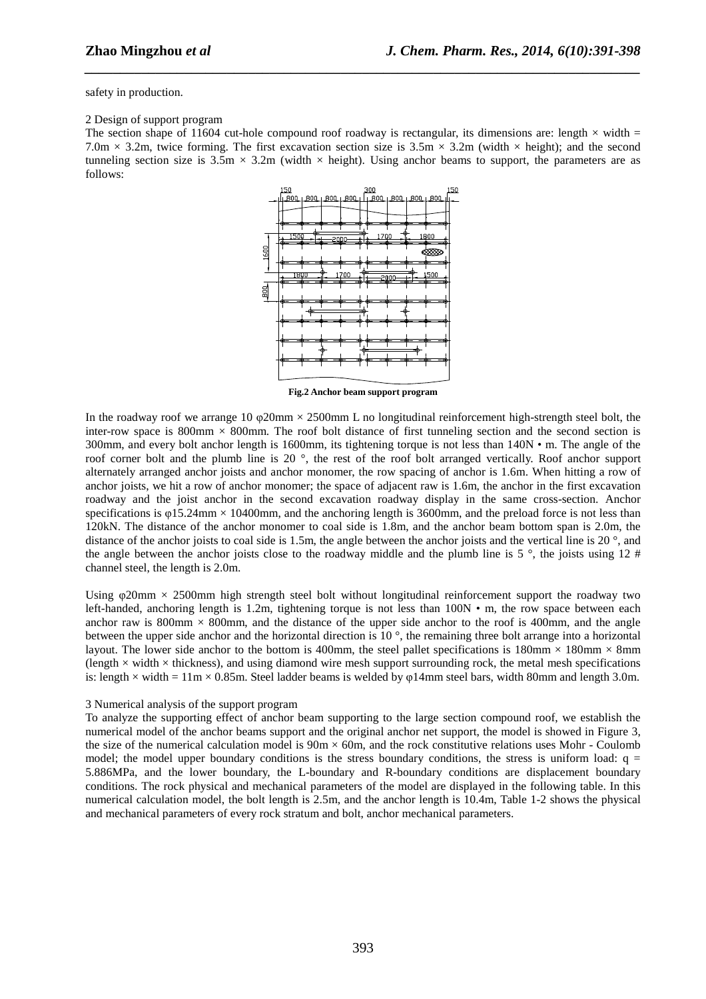safety in production.

#### 2 Design of support program

The section shape of 11604 cut-hole compound roof roadway is rectangular, its dimensions are: length  $\times$  width = 7.0m  $\times$  3.2m, twice forming. The first excavation section size is 3.5m  $\times$  3.2m (width  $\times$  height); and the second tunneling section size is  $3.5m \times 3.2m$  (width  $\times$  height). Using anchor beams to support, the parameters are as follows:

*\_\_\_\_\_\_\_\_\_\_\_\_\_\_\_\_\_\_\_\_\_\_\_\_\_\_\_\_\_\_\_\_\_\_\_\_\_\_\_\_\_\_\_\_\_\_\_\_\_\_\_\_\_\_\_\_\_\_\_\_\_\_\_\_\_\_\_\_\_\_\_\_\_\_\_\_\_\_*



**Fig.2 Anchor beam support program** 

In the roadway roof we arrange 10  $\varphi$ 20mm  $\times$  2500mm L no longitudinal reinforcement high-strength steel bolt, the inter-row space is  $800$ mm  $\times$   $800$ mm. The roof bolt distance of first tunneling section and the second section is 300mm, and every bolt anchor length is 1600mm, its tightening torque is not less than 140N • m. The angle of the roof corner bolt and the plumb line is 20 °, the rest of the roof bolt arranged vertically. Roof anchor support alternately arranged anchor joists and anchor monomer, the row spacing of anchor is 1.6m. When hitting a row of anchor joists, we hit a row of anchor monomer; the space of adjacent raw is 1.6m, the anchor in the first excavation roadway and the joist anchor in the second excavation roadway display in the same cross-section. Anchor specifications is  $\varphi$ 15.24mm × 10400mm, and the anchoring length is 3600mm, and the preload force is not less than 120kN. The distance of the anchor monomer to coal side is 1.8m, and the anchor beam bottom span is 2.0m, the distance of the anchor joists to coal side is 1.5m, the angle between the anchor joists and the vertical line is 20 $\degree$ , and the angle between the anchor joists close to the roadway middle and the plumb line is  $5^\circ$ , the joists using 12 # channel steel, the length is 2.0m.

Using  $\varphi$ 20mm  $\times$  2500mm high strength steel bolt without longitudinal reinforcement support the roadway two left-handed, anchoring length is 1.2m, tightening torque is not less than 100N • m, the row space between each anchor raw is 800mm  $\times$  800mm, and the distance of the upper side anchor to the roof is 400mm, and the angle between the upper side anchor and the horizontal direction is  $10^\circ$ , the remaining three bolt arrange into a horizontal layout. The lower side anchor to the bottom is 400mm, the steel pallet specifications is  $180$ mm  $\times$  180mm  $\times$  8mm (length  $\times$  width  $\times$  thickness), and using diamond wire mesh support surrounding rock, the metal mesh specifications is: length  $\times$  width = 11m  $\times$  0.85m. Steel ladder beams is welded by  $\varphi$ 14mm steel bars, width 80mm and length 3.0m.

#### 3 Numerical analysis of the support program

To analyze the supporting effect of anchor beam supporting to the large section compound roof, we establish the numerical model of the anchor beams support and the original anchor net support, the model is showed in Figure 3, the size of the numerical calculation model is  $90m \times 60m$ , and the rock constitutive relations uses Mohr - Coulomb model; the model upper boundary conditions is the stress boundary conditions, the stress is uniform load:  $q =$ 5.886MPa, and the lower boundary, the L-boundary and R-boundary conditions are displacement boundary conditions. The rock physical and mechanical parameters of the model are displayed in the following table. In this numerical calculation model, the bolt length is 2.5m, and the anchor length is 10.4m, Table 1-2 shows the physical and mechanical parameters of every rock stratum and bolt, anchor mechanical parameters.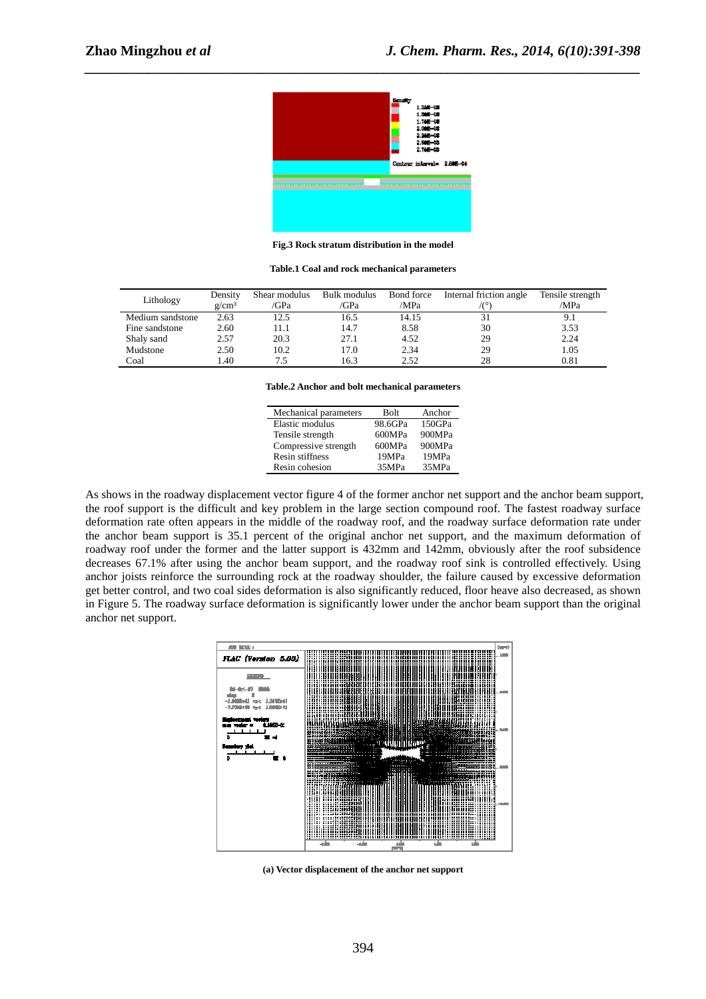

*\_\_\_\_\_\_\_\_\_\_\_\_\_\_\_\_\_\_\_\_\_\_\_\_\_\_\_\_\_\_\_\_\_\_\_\_\_\_\_\_\_\_\_\_\_\_\_\_\_\_\_\_\_\_\_\_\_\_\_\_\_\_\_\_\_\_\_\_\_\_\_\_\_\_\_\_\_\_*

**Fig.3 Rock stratum distribution in the model** 

|  |  |  |  |  | Table.1 Coal and rock mechanical parameters |
|--|--|--|--|--|---------------------------------------------|
|--|--|--|--|--|---------------------------------------------|

| Lithology        | Density  | Shear modulus | Bulk modulus | Bond force | Internal friction angle | Tensile strength |
|------------------|----------|---------------|--------------|------------|-------------------------|------------------|
|                  | $g/cm^3$ | /GPa          | /GPa         | /MPa       |                         | /MPa             |
| Medium sandstone | 2.63     | 12.5          | 16.5         | 14.15      | 31                      |                  |
| Fine sandstone   | 2.60     | 11.1          | 14.7         | 8.58       | 30                      | 3.53             |
| Shaly sand       | 2.57     | 20.3          | 27.1         | 4.52       | 29                      | 2.24             |
| Mudstone         | 2.50     | 10.2          | 17.0         | 2.34       | 29                      | 1.05             |
| Coal             | l.40     |               | 16.3         | 2.52       | 28                      | 0.81             |

**Table.2 Anchor and bolt mechanical parameters** 

| Mechanical parameters  | <b>Bolt</b> | Anchor |
|------------------------|-------------|--------|
| Elastic modulus        | 98.6GPa     | 150GPa |
| Tensile strength       | 600MPa      | 900MPa |
| Compressive strength   | 600MPa      | 900MPa |
| <b>Resin stiffness</b> | 19MPa       | 19MPa  |
| Resin cohesion         | 35MPa       | 35MPa  |

As shows in the roadway displacement vector figure 4 of the former anchor net support and the anchor beam support, the roof support is the difficult and key problem in the large section compound roof. The fastest roadway surface deformation rate often appears in the middle of the roadway roof, and the roadway surface deformation rate under the anchor beam support is 35.1 percent of the original anchor net support, and the maximum deformation of roadway roof under the former and the latter support is 432mm and 142mm, obviously after the roof subsidence decreases 67.1% after using the anchor beam support, and the roadway roof sink is controlled effectively. Using anchor joists reinforce the surrounding rock at the roadway shoulder, the failure caused by excessive deformation get better control, and two coal sides deformation is also significantly reduced, floor heave also decreased, as shown in Figure 5. The roadway surface deformation is significantly lower under the anchor beam support than the original anchor net support.



**(a) Vector displacement of the anchor net support**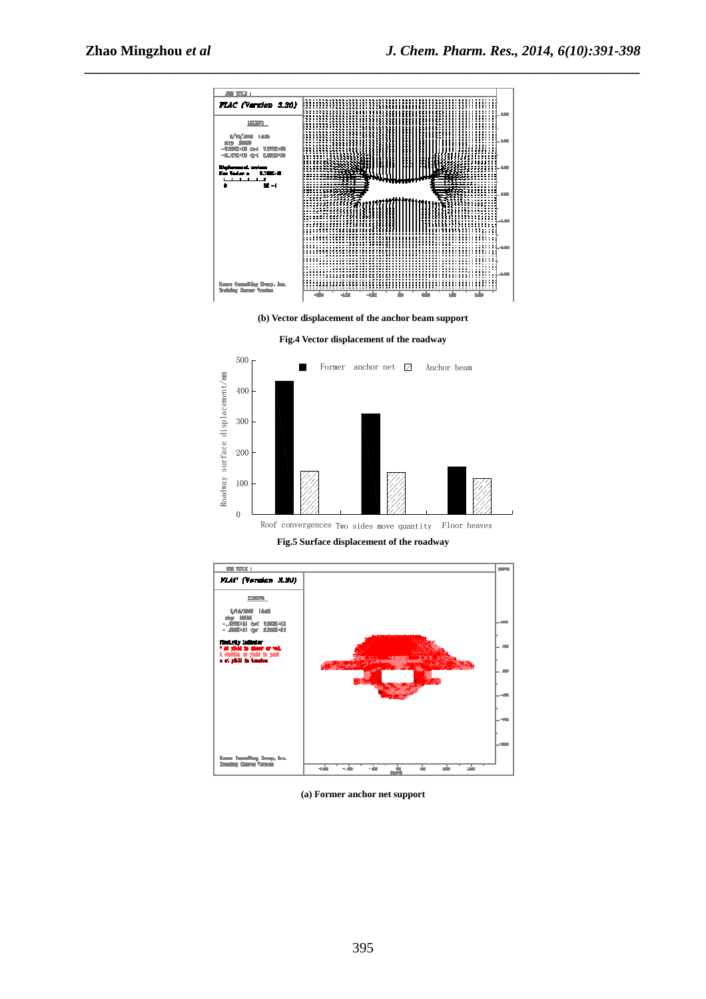

*\_\_\_\_\_\_\_\_\_\_\_\_\_\_\_\_\_\_\_\_\_\_\_\_\_\_\_\_\_\_\_\_\_\_\_\_\_\_\_\_\_\_\_\_\_\_\_\_\_\_\_\_\_\_\_\_\_\_\_\_\_\_\_\_\_\_\_\_\_\_\_\_\_\_\_\_\_\_*

**(b) Vector displacement of the anchor beam support** 





**Fig.5 Surface displacement of the roadway** 



**(a) Former anchor net support**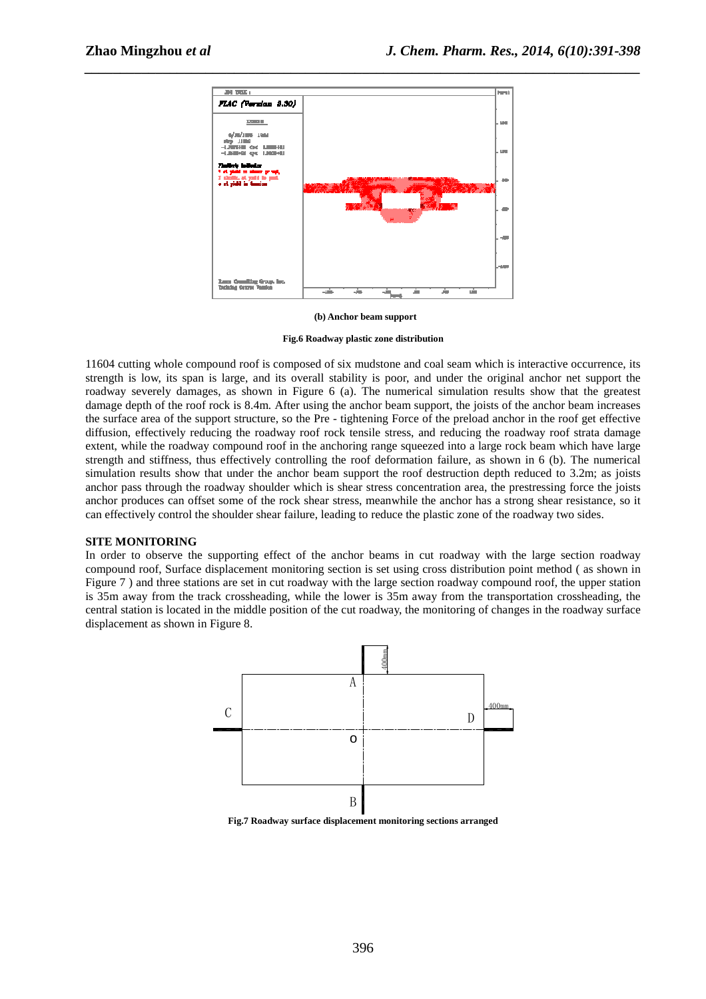

 **(b) Anchor beam support** 

**Fig.6 Roadway plastic zone distribution** 

11604 cutting whole compound roof is composed of six mudstone and coal seam which is interactive occurrence, its strength is low, its span is large, and its overall stability is poor, and under the original anchor net support the roadway severely damages, as shown in Figure 6 (a). The numerical simulation results show that the greatest damage depth of the roof rock is 8.4m. After using the anchor beam support, the joists of the anchor beam increases the surface area of the support structure, so the Pre - tightening Force of the preload anchor in the roof get effective diffusion, effectively reducing the roadway roof rock tensile stress, and reducing the roadway roof strata damage extent, while the roadway compound roof in the anchoring range squeezed into a large rock beam which have large strength and stiffness, thus effectively controlling the roof deformation failure, as shown in 6 (b). The numerical simulation results show that under the anchor beam support the roof destruction depth reduced to 3.2m; as joists anchor pass through the roadway shoulder which is shear stress concentration area, the prestressing force the joists anchor produces can offset some of the rock shear stress, meanwhile the anchor has a strong shear resistance, so it can effectively control the shoulder shear failure, leading to reduce the plastic zone of the roadway two sides.

### **SITE MONITORING**

In order to observe the supporting effect of the anchor beams in cut roadway with the large section roadway compound roof, Surface displacement monitoring section is set using cross distribution point method ( as shown in Figure 7) and three stations are set in cut roadway with the large section roadway compound roof, the upper station is 35m away from the track crossheading, while the lower is 35m away from the transportation crossheading, the central station is located in the middle position of the cut roadway, the monitoring of changes in the roadway surface displacement as shown in Figure 8.



**Fig.7 Roadway surface displacement monitoring sections arranged**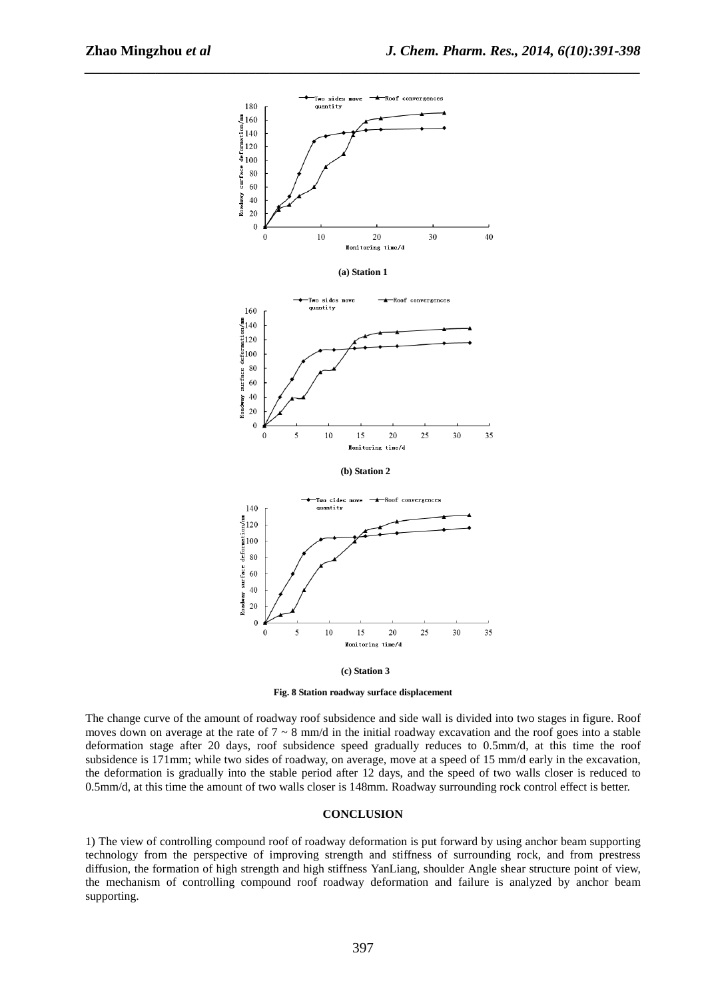

*\_\_\_\_\_\_\_\_\_\_\_\_\_\_\_\_\_\_\_\_\_\_\_\_\_\_\_\_\_\_\_\_\_\_\_\_\_\_\_\_\_\_\_\_\_\_\_\_\_\_\_\_\_\_\_\_\_\_\_\_\_\_\_\_\_\_\_\_\_\_\_\_\_\_\_\_\_\_*

 **(c) Station 3** 

**Fig. 8 Station roadway surface displacement** 

The change curve of the amount of roadway roof subsidence and side wall is divided into two stages in figure. Roof moves down on average at the rate of  $7 \sim 8$  mm/d in the initial roadway excavation and the roof goes into a stable deformation stage after 20 days, roof subsidence speed gradually reduces to 0.5mm/d, at this time the roof subsidence is 171mm; while two sides of roadway, on average, move at a speed of 15 mm/d early in the excavation, the deformation is gradually into the stable period after 12 days, and the speed of two walls closer is reduced to 0.5mm/d, at this time the amount of two walls closer is 148mm. Roadway surrounding rock control effect is better.

#### **CONCLUSION**

1) The view of controlling compound roof of roadway deformation is put forward by using anchor beam supporting technology from the perspective of improving strength and stiffness of surrounding rock, and from prestress diffusion, the formation of high strength and high stiffness YanLiang, shoulder Angle shear structure point of view, the mechanism of controlling compound roof roadway deformation and failure is analyzed by anchor beam supporting.